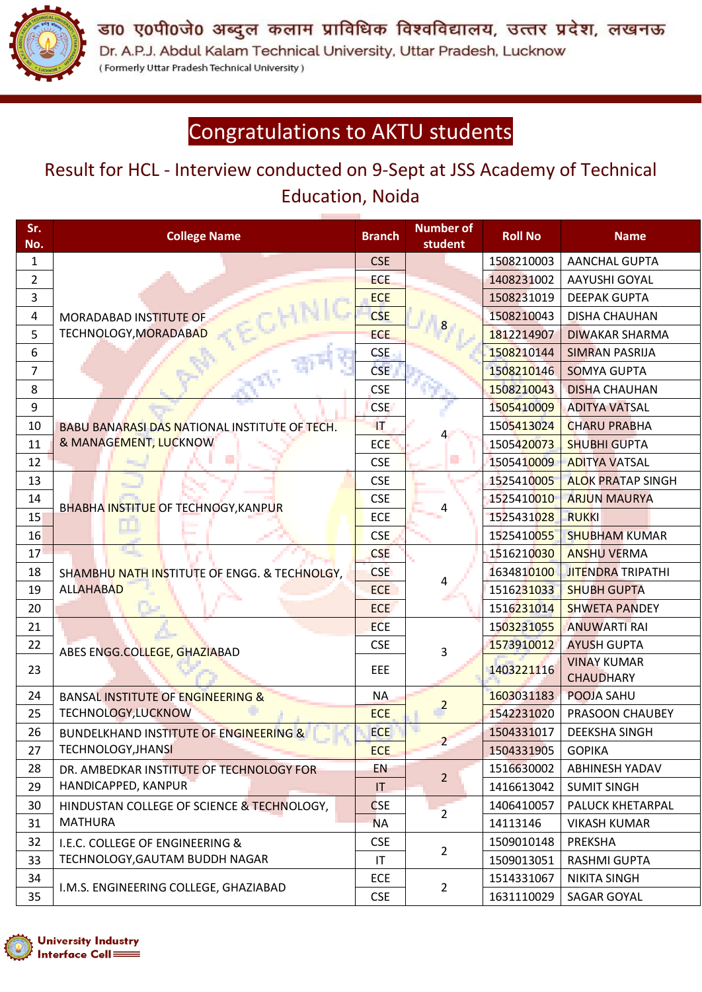

डा0 ए0पी0जे0 अब्दुल कलाम प्राविधिक विश्वविद्यालय, उत्तर प्रदेश, लखनऊ Dr. A.P.J. Abdul Kalam Technical University, Uttar Pradesh, Lucknow (Formerly Uttar Pradesh Technical University)

## Congratulations to AKTU students

## Result for HCL - Interview conducted on 9-Sept at JSS Academy of Technical Education, Noida

| Sr.<br>No.     | <b>College Name</b>                             | <b>Branch</b>          | <b>Number of</b><br>student | <b>Roll No</b> | <b>Name</b>                            |
|----------------|-------------------------------------------------|------------------------|-----------------------------|----------------|----------------------------------------|
| $\mathbf{1}$   |                                                 | <b>CSE</b>             |                             | 1508210003     | <b>AANCHAL GUPTA</b>                   |
| $\overline{2}$ | MORADABAD INSTITUTE OF<br>TECHNOLOGY, MORADABAD | <b>ECE</b>             |                             | 1408231002     | <b>AAYUSHI GOYAL</b>                   |
| 3              |                                                 | <b>ECE</b>             |                             | 1508231019     | <b>DEEPAK GUPTA</b>                    |
| 4              |                                                 | <b>CSE</b>             | 8                           | 1508210043     | <b>DISHA CHAUHAN</b>                   |
| 5              |                                                 | <b>ECE</b>             |                             | 1812214907     | <b>DIWAKAR SHARMA</b>                  |
| 6              |                                                 | <b>CSE</b>             |                             | 1508210144     | <b>SIMRAN PASRIJA</b>                  |
| 7              |                                                 | <b>CSE</b>             |                             | 1508210146     | <b>SOMYA GUPTA</b>                     |
| 8              |                                                 | <b>CSE</b>             |                             | 1508210043     | <b>DISHA CHAUHAN</b>                   |
| 9              |                                                 | <b>CSE</b>             |                             | 1505410009     | <b>ADITYA VATSAL</b>                   |
| 10             | BABU BANARASI DAS NATIONAL INSTITUTE OF TECH.   | <b>IT</b>              |                             | 1505413024     | <b>CHARU PRABHA</b>                    |
| 11             | & MANAGEMENT, LUCKNOW                           | <b>ECE</b>             |                             | 1505420073     | <b>SHUBHI GUPTA</b>                    |
| 12             |                                                 | <b>CSE</b>             | o,                          | 1505410009     | <b>ADITYA VATSAL</b>                   |
| 13             |                                                 | <b>CSE</b>             |                             | 1525410005     | <b>ALOK PRATAP SINGH</b>               |
| 14             |                                                 | <b>CSE</b>             | 4                           | 1525410010     | <b>ARJUN MAURYA</b>                    |
| 15             | BHABHA INSTITUE OF TECHNOGY, KANPUR             | ECE                    |                             | 1525431028     | <b>RUKKI</b>                           |
| 16             |                                                 | <b>CSE</b>             |                             | 1525410055     | <b>SHUBHAM KUMAR</b>                   |
| 17             |                                                 | <b>CSE</b>             |                             | 1516210030     | <b>ANSHU VERMA</b>                     |
| 18             | SHAMBHU NATH INSTITUTE OF ENGG. & TECHNOLGY,    | <b>CSE</b>             |                             | 1634810100     | <b>JITENDRA TRIPATHI</b>               |
| 19             | <b>ALLAHABAD</b>                                | <b>ECE</b>             | 4                           | 1516231033     | <b>SHUBH GUPTA</b>                     |
| 20             |                                                 | <b>ECE</b>             |                             | 1516231014     | <b>SHWETA PANDEY</b>                   |
| 21             |                                                 | <b>ECE</b>             |                             | 1503231055     | <b>ANUWARTI RAI</b>                    |
| 22             | ABES ENGG.COLLEGE, GHAZIABAD                    | <b>CSE</b>             | 3                           | 1573910012     | <b>AYUSH GUPTA</b>                     |
| 23             |                                                 | EEE                    |                             | 1403221116     | <b>VINAY KUMAR</b><br><b>CHAUDHARY</b> |
| 24             | <b>BANSAL INSTITUTE OF ENGINEERING &amp;</b>    | <b>NA</b>              |                             | 1603031183     | POOJA SAHU                             |
| 25             | TECHNOLOGY, LUCKNOW                             | <b>ECE</b>             | $\overline{a}$              | 1542231020     | PRASOON CHAUBEY                        |
| 26             | BUNDELKHAND INSTITUTE OF ENGINEERING &          | <b>ECE</b>             |                             | 1504331017     | <b>DEEKSHA SINGH</b>                   |
| 27             | <b>TECHNOLOGY, JHANSI</b>                       | <b>ECE</b>             | $\overline{2}$              | 1504331905     | <b>GOPIKA</b>                          |
| 28             | DR. AMBEDKAR INSTITUTE OF TECHNOLOGY FOR        | EN                     |                             | 1516630002     | <b>ABHINESH YADAV</b>                  |
| 29             | HANDICAPPED, KANPUR                             | ΙT                     | $\overline{2}$              | 1416613042     | <b>SUMIT SINGH</b>                     |
| 30             | HINDUSTAN COLLEGE OF SCIENCE & TECHNOLOGY,      | <b>CSE</b>             |                             | 1406410057     | PALUCK KHETARPAL                       |
| 31             | <b>MATHURA</b>                                  | <b>NA</b>              | $\overline{2}$              | 14113146       | <b>VIKASH KUMAR</b>                    |
| 32             | I.E.C. COLLEGE OF ENGINEERING &                 | <b>CSE</b>             |                             | 1509010148     | PREKSHA                                |
| 33             | TECHNOLOGY, GAUTAM BUDDH NAGAR                  | $\mathsf{I}\mathsf{T}$ | $\overline{2}$              | 1509013051     | RASHMI GUPTA                           |
| 34             |                                                 | ECE                    |                             | 1514331067     | <b>NIKITA SINGH</b>                    |
| 35             | I.M.S. ENGINEERING COLLEGE, GHAZIABAD           | <b>CSE</b>             | $\overline{2}$              | 1631110029     | SAGAR GOYAL                            |

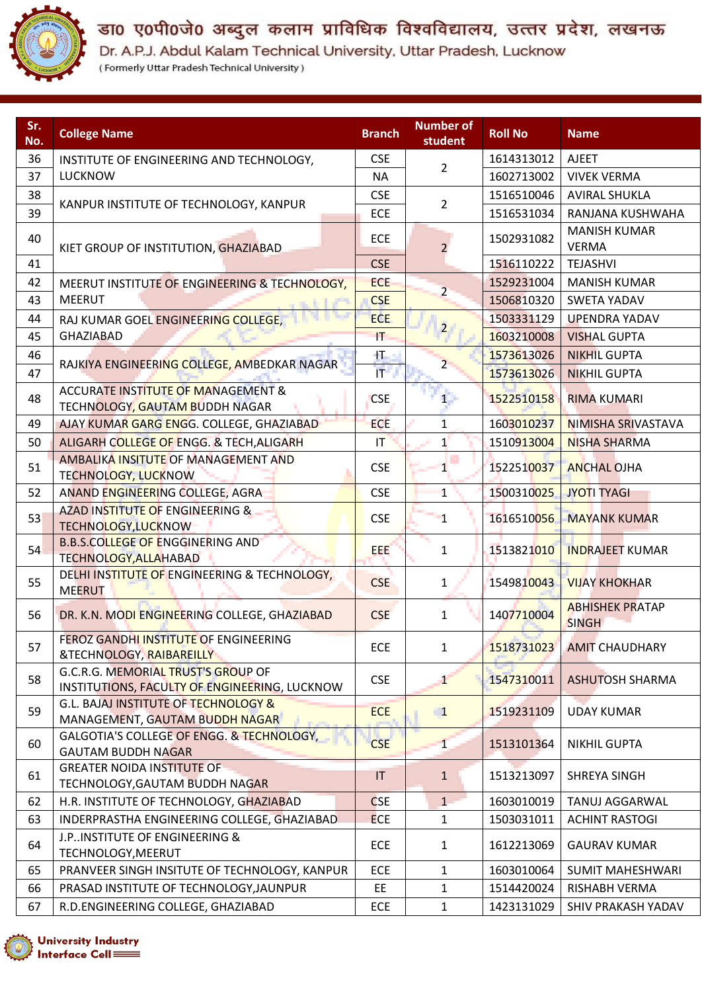

## डा0 ए0पी0जे0 अब्दुल कलाम प्राविधिक विश्वविद्यालय, उत्तर प्रदेश, लखनऊ

Dr. A.P.J. Abdul Kalam Technical University, Uttar Pradesh, Lucknow<br>(Formerly Uttar Pradesh Technical University)

| Sr.<br>No. | <b>College Name</b>                                                                 | <b>Branch</b>           | <b>Number of</b><br>student | <b>Roll No</b> | <b>Name</b>                            |
|------------|-------------------------------------------------------------------------------------|-------------------------|-----------------------------|----------------|----------------------------------------|
| 36         | INSTITUTE OF ENGINEERING AND TECHNOLOGY,                                            | <b>CSE</b>              |                             | 1614313012     | <b>AJEET</b>                           |
| 37         | <b>LUCKNOW</b>                                                                      | <b>NA</b>               | 2                           | 1602713002     | <b>VIVEK VERMA</b>                     |
| 38         |                                                                                     | <b>CSE</b>              |                             | 1516510046     | <b>AVIRAL SHUKLA</b>                   |
| 39         | KANPUR INSTITUTE OF TECHNOLOGY, KANPUR                                              | <b>ECE</b>              | $\overline{2}$              | 1516531034     | RANJANA KUSHWAHA                       |
| 40         | KIET GROUP OF INSTITUTION, GHAZIABAD                                                | <b>ECE</b>              | $\overline{2}$              | 1502931082     | <b>MANISH KUMAR</b><br><b>VERMA</b>    |
| 41         |                                                                                     | <b>CSE</b>              |                             | 1516110222     | <b>TEJASHVI</b>                        |
| 42         | MEERUT INSTITUTE OF ENGINEERING & TECHNOLOGY,                                       | <b>ECE</b>              |                             | 1529231004     | <b>MANISH KUMAR</b>                    |
| 43         | <b>MEERUT</b><br>取りする                                                               | <b>CSE</b>              | $\overline{2}$              | 1506810320     | <b>SWETA YADAV</b>                     |
| 44         | RAJ KUMAR GOEL ENGINEERING COLLEGE,                                                 | ECE                     |                             | 1503331129     | <b>UPENDRA YADAV</b>                   |
| 45         | <b>GHAZIABAD</b>                                                                    | IT.                     | 2 <sub>1</sub>              | 1603210008     | <b>VISHAL GUPTA</b>                    |
| 46         |                                                                                     | Đ.                      |                             | 1573613026     | <b>NIKHIL GUPTA</b>                    |
| 47         | RAJKIYA ENGINEERING COLLEGE, AMBEDKAR NAGAR                                         | $\mathsf{I} \mathsf{T}$ | 2                           | 1573613026     | <b>NIKHIL GUPTA</b>                    |
| 48         | <b>ACCURATE INSTITUTE OF MANAGEMENT &amp;</b><br>TECHNOLOGY, GAUTAM BUDDH NAGAR     | <b>CSE</b>              | 1.                          | 1522510158     | <b>RIMA KUMARI</b>                     |
| 49         | AJAY KUMAR GARG ENGG. COLLEGE, GHAZIABAD                                            | <b>ECE</b>              | $\overline{1}$              | 1603010237     | NIMISHA SRIVASTAVA                     |
| 50         | ALIGARH COLLEGE OF ENGG. & TECH, ALIGARH                                            | $\mathsf{I}\mathsf{T}$  | $\mathbf{1}$                | 1510913004     | <b>NISHA SHARMA</b>                    |
| 51         | AMBALIKA INSITUTE OF MANAGEMENT AND<br>TECHNOLOGY, LUCKNOW                          | <b>CSE</b>              | $\mathbf{1}$                | 1522510037     | <b>ANCHAL OJHA</b>                     |
| 52         | ANAND ENGINEERING COLLEGE, AGRA                                                     | <b>CSE</b>              | $\mathbf{1}$                | 1500310025     | <b>JYOTI TYAGI</b>                     |
| 53         | AZAD INSTITUTE OF ENGINEERING &<br>TECHNOLOGY, LUCKNOW                              | <b>CSE</b>              | $\mathbf{L}$                | 1616510056     | <b>MAYANK KUMAR</b>                    |
| 54         | <b>B.B.S.COLLEGE OF ENGGINERING AND</b><br>TECHNOLOGY, ALLAHABAD                    | EEE                     | 1                           | 1513821010     | <b>INDRAJEET KUMAR</b>                 |
| 55         | DELHI INSTITUTE OF ENGINEERING & TECHNOLOGY,<br><b>MEERUT</b>                       | <b>CSE</b>              | $\mathbf{1}$                | 1549810043     | <b>VIJAY KHOKHAR</b>                   |
| 56         | DR. K.N. MODI ENGINEERING COLLEGE, GHAZIABAD                                        | <b>CSE</b>              | 1                           | 1407710004     | <b>ABHISHEK PRATAP</b><br><b>SINGH</b> |
| 57         | <b>FEROZ GANDHI INSTITUTE OF ENGINEERING</b><br>&TECHNOLOGY, RAIBAREILLY            | ECE                     | $\mathbf{1}$                | 1518731023     | <b>AMIT CHAUDHARY</b>                  |
| 58         | G.C.R.G. MEMORIAL TRUST'S GROUP OF<br>INSTITUTIONS, FACULTY OF ENGINEERING, LUCKNOW | <b>CSE</b>              | 1                           | 1547310011     | <b>ASHUTOSH SHARMA</b>                 |
| 59         | G.L. BAJAJ INSTITUTE OF TECHNOLOGY &<br>MANAGEMENT, GAUTAM BUDDH NAGAR              | <b>ECE</b>              | $\blacksquare$              | 1519231109     | <b>UDAY KUMAR</b>                      |
| 60         | GALGOTIA'S COLLEGE OF ENGG. & TECHNOLOGY,<br><b>GAUTAM BUDDH NAGAR</b>              | <b>CSE</b>              | $\mathbf{1}$                | 1513101364     | <b>NIKHIL GUPTA</b>                    |
| 61         | <b>GREATER NOIDA INSTITUTE OF</b><br>TECHNOLOGY, GAUTAM BUDDH NAGAR                 | IT                      | $\mathbf{1}$                | 1513213097     | <b>SHREYA SINGH</b>                    |
| 62         | H.R. INSTITUTE OF TECHNOLOGY, GHAZIABAD                                             | <b>CSE</b>              | $\mathbf{1}$                | 1603010019     | TANUJ AGGARWAL                         |
| 63         | INDERPRASTHA ENGINEERING COLLEGE, GHAZIABAD                                         | <b>ECE</b>              | $\mathbf{1}$                | 1503031011     | <b>ACHINT RASTOGI</b>                  |
| 64         | J.P. INSTITUTE OF ENGINEERING &<br>TECHNOLOGY, MEERUT                               | <b>ECE</b>              | 1                           | 1612213069     | <b>GAURAV KUMAR</b>                    |
| 65         | PRANVEER SINGH INSITUTE OF TECHNOLOGY, KANPUR                                       | ECE                     | 1                           | 1603010064     | <b>SUMIT MAHESHWARI</b>                |
| 66         | PRASAD INSTITUTE OF TECHNOLOGY, JAUNPUR                                             | EE                      | $\mathbf{1}$                | 1514420024     | RISHABH VERMA                          |
| 67         | R.D.ENGINEERING COLLEGE, GHAZIABAD                                                  | <b>ECE</b>              | $\mathbf{1}$                | 1423131029     | SHIV PRAKASH YADAV                     |